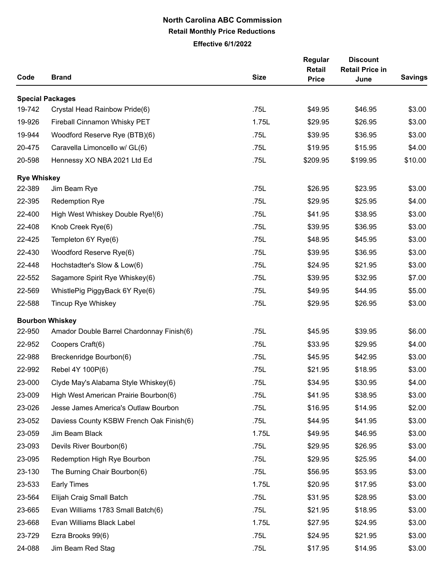## **North Carolina ABC Commission Retail Monthly Price Reductions**

**Effective 6/1/2022**

| Code               | <b>Brand</b>                              | <b>Size</b> | Regular<br><b>Retail</b><br><b>Price</b> | <b>Discount</b><br><b>Retail Price in</b><br>June | <b>Savings</b> |
|--------------------|-------------------------------------------|-------------|------------------------------------------|---------------------------------------------------|----------------|
|                    | <b>Special Packages</b>                   |             |                                          |                                                   |                |
| 19-742             | Crystal Head Rainbow Pride(6)             | .75L        | \$49.95                                  | \$46.95                                           | \$3.00         |
| 19-926             | Fireball Cinnamon Whisky PET              | 1.75L       | \$29.95                                  | \$26.95                                           | \$3.00         |
| 19-944             | Woodford Reserve Rye (BTB)(6)             | .75L        | \$39.95                                  | \$36.95                                           | \$3.00         |
| 20-475             | Caravella Limoncello w/ GL(6)             | .75L        | \$19.95                                  | \$15.95                                           | \$4.00         |
| 20-598             | Hennessy XO NBA 2021 Ltd Ed               | .75L        | \$209.95                                 | \$199.95                                          | \$10.00        |
| <b>Rye Whiskey</b> |                                           |             |                                          |                                                   |                |
| 22-389             | Jim Beam Rye                              | .75L        | \$26.95                                  | \$23.95                                           | \$3.00         |
| 22-395             | <b>Redemption Rye</b>                     | .75L        | \$29.95                                  | \$25.95                                           | \$4.00         |
| 22-400             | High West Whiskey Double Rye!(6)          | .75L        | \$41.95                                  | \$38.95                                           | \$3.00         |
| 22-408             | Knob Creek Rye(6)                         | .75L        | \$39.95                                  | \$36.95                                           | \$3.00         |
| 22-425             | Templeton 6Y Rye(6)                       | .75L        | \$48.95                                  | \$45.95                                           | \$3.00         |
| 22-430             | Woodford Reserve Rye(6)                   | .75L        | \$39.95                                  | \$36.95                                           | \$3.00         |
| 22-448             | Hochstadter's Slow & Low(6)               | .75L        | \$24.95                                  | \$21.95                                           | \$3.00         |
| 22-552             | Sagamore Spirit Rye Whiskey(6)            | .75L        | \$39.95                                  | \$32.95                                           | \$7.00         |
| 22-569             | WhistlePig PiggyBack 6Y Rye(6)            | .75L        | \$49.95                                  | \$44.95                                           | \$5.00         |
| 22-588             | <b>Tincup Rye Whiskey</b>                 | .75L        | \$29.95                                  | \$26.95                                           | \$3.00         |
|                    | <b>Bourbon Whiskey</b>                    |             |                                          |                                                   |                |
| 22-950             | Amador Double Barrel Chardonnay Finish(6) | .75L        | \$45.95                                  | \$39.95                                           | \$6.00         |
| 22-952             | Coopers Craft(6)                          | .75L        | \$33.95                                  | \$29.95                                           | \$4.00         |
| 22-988             | Breckenridge Bourbon(6)                   | .75L        | \$45.95                                  | \$42.95                                           | \$3.00         |
| 22-992             | Rebel 4Y 100P(6)                          | .75L        | \$21.95                                  | \$18.95                                           | \$3.00         |
| 23-000             | Clyde May's Alabama Style Whiskey(6)      | .75L        | \$34.95                                  | \$30.95                                           | \$4.00         |
| 23-009             | High West American Prairie Bourbon(6)     | .75L        | \$41.95                                  | \$38.95                                           | \$3.00         |
| 23-026             | Jesse James America's Outlaw Bourbon      | .75L        | \$16.95                                  | \$14.95                                           | \$2.00         |
| 23-052             | Daviess County KSBW French Oak Finish(6)  | .75L        | \$44.95                                  | \$41.95                                           | \$3.00         |
| 23-059             | Jim Beam Black                            | 1.75L       | \$49.95                                  | \$46.95                                           | \$3.00         |
| 23-093             | Devils River Bourbon(6)                   | .75L        | \$29.95                                  | \$26.95                                           | \$3.00         |
| 23-095             | Redemption High Rye Bourbon               | .75L        | \$29.95                                  | \$25.95                                           | \$4.00         |
| 23-130             | The Burning Chair Bourbon(6)              | .75L        | \$56.95                                  | \$53.95                                           | \$3.00         |
| 23-533             | <b>Early Times</b>                        | 1.75L       | \$20.95                                  | \$17.95                                           | \$3.00         |
| 23-564             | Elijah Craig Small Batch                  | .75L        | \$31.95                                  | \$28.95                                           | \$3.00         |
| 23-665             | Evan Williams 1783 Small Batch(6)         | .75L        | \$21.95                                  | \$18.95                                           | \$3.00         |
| 23-668             | Evan Williams Black Label                 | 1.75L       | \$27.95                                  | \$24.95                                           | \$3.00         |
| 23-729             | Ezra Brooks 99(6)                         | .75L        | \$24.95                                  | \$21.95                                           | \$3.00         |
| 24-088             | Jim Beam Red Stag                         | .75L        | \$17.95                                  | \$14.95                                           | \$3.00         |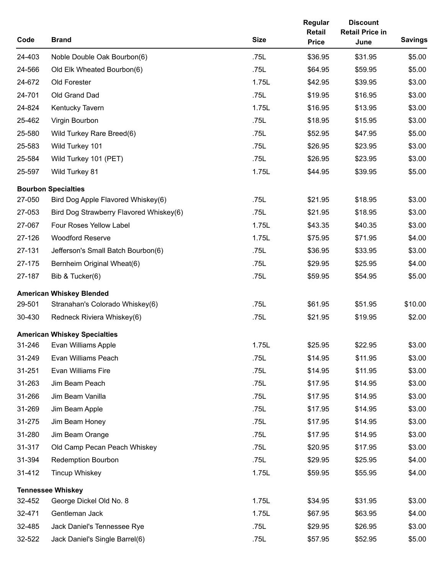| Code   | <b>Brand</b>                            | <b>Size</b> | Regular<br>Retail<br><b>Price</b> | <b>Discount</b><br><b>Retail Price in</b><br>June | <b>Savings</b> |
|--------|-----------------------------------------|-------------|-----------------------------------|---------------------------------------------------|----------------|
| 24-403 | Noble Double Oak Bourbon(6)             | .75L        | \$36.95                           | \$31.95                                           | \$5.00         |
| 24-566 | Old Elk Wheated Bourbon(6)              | .75L        | \$64.95                           | \$59.95                                           | \$5.00         |
| 24-672 | Old Forester                            | 1.75L       | \$42.95                           | \$39.95                                           | \$3.00         |
| 24-701 | Old Grand Dad                           | .75L        | \$19.95                           | \$16.95                                           | \$3.00         |
| 24-824 | Kentucky Tavern                         | 1.75L       | \$16.95                           | \$13.95                                           | \$3.00         |
| 25-462 | Virgin Bourbon                          | .75L        | \$18.95                           | \$15.95                                           | \$3.00         |
| 25-580 | Wild Turkey Rare Breed(6)               | .75L        | \$52.95                           | \$47.95                                           | \$5.00         |
| 25-583 | Wild Turkey 101                         | .75L        | \$26.95                           | \$23.95                                           | \$3.00         |
| 25-584 | Wild Turkey 101 (PET)                   | .75L        | \$26.95                           | \$23.95                                           | \$3.00         |
| 25-597 | Wild Turkey 81                          | 1.75L       | \$44.95                           | \$39.95                                           | \$5.00         |
|        | <b>Bourbon Specialties</b>              |             |                                   |                                                   |                |
| 27-050 | Bird Dog Apple Flavored Whiskey(6)      | .75L        | \$21.95                           | \$18.95                                           | \$3.00         |
| 27-053 | Bird Dog Strawberry Flavored Whiskey(6) | .75L        | \$21.95                           | \$18.95                                           | \$3.00         |
| 27-067 | Four Roses Yellow Label                 | 1.75L       | \$43.35                           | \$40.35                                           | \$3.00         |
| 27-126 | <b>Woodford Reserve</b>                 | 1.75L       | \$75.95                           | \$71.95                                           | \$4.00         |
| 27-131 | Jefferson's Small Batch Bourbon(6)      | .75L        | \$36.95                           | \$33.95                                           | \$3.00         |
| 27-175 | Bernheim Original Wheat(6)              | .75L        | \$29.95                           | \$25.95                                           | \$4.00         |
| 27-187 | Bib & Tucker(6)                         | .75L        | \$59.95                           | \$54.95                                           | \$5.00         |
|        | <b>American Whiskey Blended</b>         |             |                                   |                                                   |                |
| 29-501 | Stranahan's Colorado Whiskey(6)         | .75L        | \$61.95                           | \$51.95                                           | \$10.00        |
| 30-430 | Redneck Riviera Whiskey(6)              | .75L        | \$21.95                           | \$19.95                                           | \$2.00         |
|        | <b>American Whiskey Specialties</b>     |             |                                   |                                                   |                |
| 31-246 | Evan Williams Apple                     | 1.75L       | \$25.95                           | \$22.95                                           | \$3.00         |
| 31-249 | Evan Williams Peach                     | .75L        | \$14.95                           | \$11.95                                           | \$3.00         |
| 31-251 | Evan Williams Fire                      | .75L        | \$14.95                           | \$11.95                                           | \$3.00         |
| 31-263 | Jim Beam Peach                          | .75L        | \$17.95                           | \$14.95                                           | \$3.00         |
| 31-266 | Jim Beam Vanilla                        | .75L        | \$17.95                           | \$14.95                                           | \$3.00         |
| 31-269 | Jim Beam Apple                          | .75L        | \$17.95                           | \$14.95                                           | \$3.00         |
| 31-275 | Jim Beam Honey                          | .75L        | \$17.95                           | \$14.95                                           | \$3.00         |
| 31-280 | Jim Beam Orange                         | .75L        | \$17.95                           | \$14.95                                           | \$3.00         |
| 31-317 | Old Camp Pecan Peach Whiskey            | .75L        | \$20.95                           | \$17.95                                           | \$3.00         |
| 31-394 | <b>Redemption Bourbon</b>               | .75L        | \$29.95                           | \$25.95                                           | \$4.00         |
| 31-412 | <b>Tincup Whiskey</b>                   | 1.75L       | \$59.95                           | \$55.95                                           | \$4.00         |
|        | <b>Tennessee Whiskey</b>                |             |                                   |                                                   |                |
| 32-452 | George Dickel Old No. 8                 | 1.75L       | \$34.95                           | \$31.95                                           | \$3.00         |
| 32-471 | Gentleman Jack                          | 1.75L       | \$67.95                           | \$63.95                                           | \$4.00         |
| 32-485 | Jack Daniel's Tennessee Rye             | .75L        | \$29.95                           | \$26.95                                           | \$3.00         |
| 32-522 | Jack Daniel's Single Barrel(6)          | .75L        | \$57.95                           | \$52.95                                           | \$5.00         |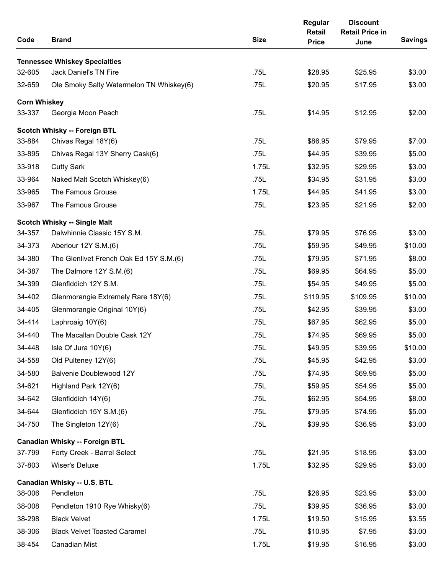| Code                | <b>Brand</b>                             | <b>Size</b> | Regular<br>Retail<br><b>Price</b> | <b>Discount</b><br><b>Retail Price in</b><br>June | <b>Savings</b> |
|---------------------|------------------------------------------|-------------|-----------------------------------|---------------------------------------------------|----------------|
|                     | <b>Tennessee Whiskey Specialties</b>     |             |                                   |                                                   |                |
| 32-605              | <b>Jack Daniel's TN Fire</b>             | .75L        | \$28.95                           | \$25.95                                           | \$3.00         |
| 32-659              | Ole Smoky Salty Watermelon TN Whiskey(6) | .75L        | \$20.95                           | \$17.95                                           | \$3.00         |
| <b>Corn Whiskey</b> |                                          |             |                                   |                                                   |                |
| 33-337              | Georgia Moon Peach                       | .75L        | \$14.95                           | \$12.95                                           | \$2.00         |
|                     | <b>Scotch Whisky -- Foreign BTL</b>      |             |                                   |                                                   |                |
| 33-884              | Chivas Regal 18Y(6)                      | .75L        | \$86.95                           | \$79.95                                           | \$7.00         |
| 33-895              | Chivas Regal 13Y Sherry Cask(6)          | .75L        | \$44.95                           | \$39.95                                           | \$5.00         |
| 33-918              | <b>Cutty Sark</b>                        | 1.75L       | \$32.95                           | \$29.95                                           | \$3.00         |
| 33-964              | Naked Malt Scotch Whiskey(6)             | .75L        | \$34.95                           | \$31.95                                           | \$3.00         |
| 33-965              | The Famous Grouse                        | 1.75L       | \$44.95                           | \$41.95                                           | \$3.00         |
| 33-967              | The Famous Grouse                        | .75L        | \$23.95                           | \$21.95                                           | \$2.00         |
|                     | <b>Scotch Whisky -- Single Malt</b>      |             |                                   |                                                   |                |
| 34-357              | Dalwhinnie Classic 15Y S.M.              | .75L        | \$79.95                           | \$76.95                                           | \$3.00         |
| 34-373              | Aberlour 12Y S.M.(6)                     | .75L        | \$59.95                           | \$49.95                                           | \$10.00        |
| 34-380              | The Glenlivet French Oak Ed 15Y S.M.(6)  | .75L        | \$79.95                           | \$71.95                                           | \$8.00         |
| 34-387              | The Dalmore 12Y S.M.(6)                  | .75L        | \$69.95                           | \$64.95                                           | \$5.00         |
| 34-399              | Glenfiddich 12Y S.M.                     | .75L        | \$54.95                           | \$49.95                                           | \$5.00         |
| 34-402              | Glenmorangie Extremely Rare 18Y(6)       | .75L        | \$119.95                          | \$109.95                                          | \$10.00        |
| 34-405              | Glenmorangie Original 10Y(6)             | .75L        | \$42.95                           | \$39.95                                           | \$3.00         |
| 34-414              | Laphroaig 10Y(6)                         | .75L        | \$67.95                           | \$62.95                                           | \$5.00         |
| 34-440              | The Macallan Double Cask 12Y             | .75L        | \$74.95                           | \$69.95                                           | \$5.00         |
| 34-448              | Isle Of Jura 10Y(6)                      | .75L        | \$49.95                           | \$39.95                                           | \$10.00        |
| 34-558              | Old Pulteney 12Y(6)                      | .75L        | \$45.95                           | \$42.95                                           | \$3.00         |
| 34-580              | Balvenie Doublewood 12Y                  | .75L        | \$74.95                           | \$69.95                                           | \$5.00         |
| 34-621              | Highland Park 12Y(6)                     | .75L        | \$59.95                           | \$54.95                                           | \$5.00         |
| 34-642              | Glenfiddich 14Y(6)                       | .75L        | \$62.95                           | \$54.95                                           | \$8.00         |
| 34-644              | Glenfiddich 15Y S.M.(6)                  | .75L        | \$79.95                           | \$74.95                                           | \$5.00         |
| 34-750              | The Singleton 12Y(6)                     | .75L        | \$39.95                           | \$36.95                                           | \$3.00         |
|                     | <b>Canadian Whisky -- Foreign BTL</b>    |             |                                   |                                                   |                |
| 37-799              | Forty Creek - Barrel Select              | .75L        | \$21.95                           | \$18.95                                           | \$3.00         |
| 37-803              | Wiser's Deluxe                           | 1.75L       | \$32.95                           | \$29.95                                           | \$3.00         |
|                     | Canadian Whisky -- U.S. BTL              |             |                                   |                                                   |                |
| 38-006              | Pendleton                                | .75L        | \$26.95                           | \$23.95                                           | \$3.00         |
| 38-008              | Pendleton 1910 Rye Whisky(6)             | .75L        | \$39.95                           | \$36.95                                           | \$3.00         |
| 38-298              | <b>Black Velvet</b>                      | 1.75L       | \$19.50                           | \$15.95                                           | \$3.55         |
| 38-306              | <b>Black Velvet Toasted Caramel</b>      | .75L        | \$10.95                           | \$7.95                                            | \$3.00         |
| 38-454              | Canadian Mist                            | 1.75L       | \$19.95                           | \$16.95                                           | \$3.00         |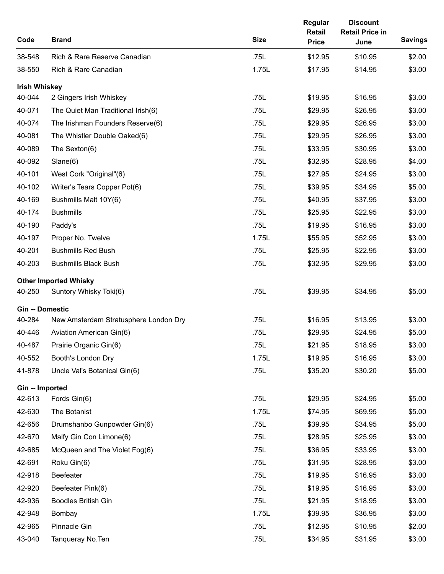| Code                   | <b>Brand</b>                          | <b>Size</b> | Regular<br><b>Retail</b><br><b>Price</b> | <b>Discount</b><br><b>Retail Price in</b><br>June | <b>Savings</b> |
|------------------------|---------------------------------------|-------------|------------------------------------------|---------------------------------------------------|----------------|
| 38-548                 | Rich & Rare Reserve Canadian          | .75L        | \$12.95                                  | \$10.95                                           | \$2.00         |
| 38-550                 | Rich & Rare Canadian                  | 1.75L       | \$17.95                                  | \$14.95                                           | \$3.00         |
| <b>Irish Whiskey</b>   |                                       |             |                                          |                                                   |                |
| 40-044                 | 2 Gingers Irish Whiskey               | .75L        | \$19.95                                  | \$16.95                                           | \$3.00         |
| 40-071                 | The Quiet Man Traditional Irish(6)    | .75L        | \$29.95                                  | \$26.95                                           | \$3.00         |
| 40-074                 | The Irishman Founders Reserve(6)      | .75L        | \$29.95                                  | \$26.95                                           | \$3.00         |
| 40-081                 | The Whistler Double Oaked(6)          | .75L        | \$29.95                                  | \$26.95                                           | \$3.00         |
| 40-089                 | The Sexton(6)                         | .75L        | \$33.95                                  | \$30.95                                           | \$3.00         |
| 40-092                 | Slane(6)                              | .75L        | \$32.95                                  | \$28.95                                           | \$4.00         |
| 40-101                 | West Cork "Original"(6)               | .75L        | \$27.95                                  | \$24.95                                           | \$3.00         |
| 40-102                 | Writer's Tears Copper Pot(6)          | .75L        | \$39.95                                  | \$34.95                                           | \$5.00         |
| 40-169                 | Bushmills Malt 10Y(6)                 | .75L        | \$40.95                                  | \$37.95                                           | \$3.00         |
| 40-174                 | <b>Bushmills</b>                      | .75L        | \$25.95                                  | \$22.95                                           | \$3.00         |
| 40-190                 | Paddy's                               | .75L        | \$19.95                                  | \$16.95                                           | \$3.00         |
| 40-197                 | Proper No. Twelve                     | 1.75L       | \$55.95                                  | \$52.95                                           | \$3.00         |
| 40-201                 | <b>Bushmills Red Bush</b>             | .75L        | \$25.95                                  | \$22.95                                           | \$3.00         |
| 40-203                 | <b>Bushmills Black Bush</b>           | .75L        | \$32.95                                  | \$29.95                                           | \$3.00         |
|                        | <b>Other Imported Whisky</b>          |             |                                          |                                                   |                |
| 40-250                 | Suntory Whisky Toki(6)                | .75L        | \$39.95                                  | \$34.95                                           | \$5.00         |
| <b>Gin -- Domestic</b> |                                       |             |                                          |                                                   |                |
| 40-284                 | New Amsterdam Stratusphere London Dry | .75L        | \$16.95                                  | \$13.95                                           | \$3.00         |
| 40-446                 | Aviation American Gin(6)              | .75L        | \$29.95                                  | \$24.95                                           | \$5.00         |
| 40-487                 | Prairie Organic Gin(6)                | .75L        | \$21.95                                  | \$18.95                                           | \$3.00         |
| 40-552                 | Booth's London Dry                    | 1.75L       | \$19.95                                  | \$16.95                                           | \$3.00         |
| 41-878                 | Uncle Val's Botanical Gin(6)          | .75L        | \$35.20                                  | \$30.20                                           | \$5.00         |
| Gin -- Imported        |                                       |             |                                          |                                                   |                |
| 42-613                 | Fords Gin(6)                          | .75L        | \$29.95                                  | \$24.95                                           | \$5.00         |
| 42-630                 | The Botanist                          | 1.75L       | \$74.95                                  | \$69.95                                           | \$5.00         |
| 42-656                 | Drumshanbo Gunpowder Gin(6)           | .75L        | \$39.95                                  | \$34.95                                           | \$5.00         |
| 42-670                 | Malfy Gin Con Limone(6)               | .75L        | \$28.95                                  | \$25.95                                           | \$3.00         |
| 42-685                 | McQueen and The Violet Fog(6)         | .75L        | \$36.95                                  | \$33.95                                           | \$3.00         |
| 42-691                 | Roku Gin(6)                           | .75L        | \$31.95                                  | \$28.95                                           | \$3.00         |
| 42-918                 | Beefeater                             | .75L        | \$19.95                                  | \$16.95                                           | \$3.00         |
| 42-920                 | Beefeater Pink(6)                     | .75L        | \$19.95                                  | \$16.95                                           | \$3.00         |
| 42-936                 | <b>Boodles British Gin</b>            | .75L        | \$21.95                                  | \$18.95                                           | \$3.00         |
| 42-948                 | Bombay                                | 1.75L       | \$39.95                                  | \$36.95                                           | \$3.00         |
| 42-965                 | Pinnacle Gin                          | .75L        | \$12.95                                  | \$10.95                                           | \$2.00         |
| 43-040                 | Tanqueray No. Ten                     | .75L        | \$34.95                                  | \$31.95                                           | \$3.00         |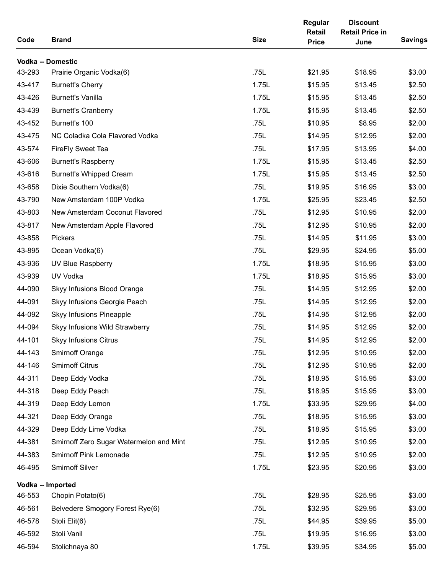| Code   | <b>Brand</b>                            | <b>Size</b> | Regular<br>Retail<br><b>Price</b> | <b>Discount</b><br><b>Retail Price in</b><br>June | <b>Savings</b> |
|--------|-----------------------------------------|-------------|-----------------------------------|---------------------------------------------------|----------------|
|        | Vodka -- Domestic                       |             |                                   |                                                   |                |
| 43-293 | Prairie Organic Vodka(6)                | .75L        | \$21.95                           | \$18.95                                           | \$3.00         |
| 43-417 | <b>Burnett's Cherry</b>                 | 1.75L       | \$15.95                           | \$13.45                                           | \$2.50         |
| 43-426 | <b>Burnett's Vanilla</b>                | 1.75L       | \$15.95                           | \$13.45                                           | \$2.50         |
| 43-439 | <b>Burnett's Cranberry</b>              | 1.75L       | \$15.95                           | \$13.45                                           | \$2.50         |
| 43-452 | Burnett's 100                           | .75L        | \$10.95                           | \$8.95                                            | \$2.00         |
| 43-475 | NC Coladka Cola Flavored Vodka          | .75L        | \$14.95                           | \$12.95                                           | \$2.00         |
| 43-574 | <b>FireFly Sweet Tea</b>                | .75L        | \$17.95                           | \$13.95                                           | \$4.00         |
| 43-606 | <b>Burnett's Raspberry</b>              | 1.75L       | \$15.95                           | \$13.45                                           | \$2.50         |
| 43-616 | <b>Burnett's Whipped Cream</b>          | 1.75L       | \$15.95                           | \$13.45                                           | \$2.50         |
| 43-658 | Dixie Southern Vodka(6)                 | .75L        | \$19.95                           | \$16.95                                           | \$3.00         |
| 43-790 | New Amsterdam 100P Vodka                | 1.75L       | \$25.95                           | \$23.45                                           | \$2.50         |
| 43-803 | New Amsterdam Coconut Flavored          | .75L        | \$12.95                           | \$10.95                                           | \$2.00         |
| 43-817 | New Amsterdam Apple Flavored            | .75L        | \$12.95                           | \$10.95                                           | \$2.00         |
| 43-858 | <b>Pickers</b>                          | .75L        | \$14.95                           | \$11.95                                           | \$3.00         |
| 43-895 | Ocean Vodka(6)                          | .75L        | \$29.95                           | \$24.95                                           | \$5.00         |
| 43-936 | UV Blue Raspberry                       | 1.75L       | \$18.95                           | \$15.95                                           | \$3.00         |
| 43-939 | UV Vodka                                | 1.75L       | \$18.95                           | \$15.95                                           | \$3.00         |
| 44-090 | Skyy Infusions Blood Orange             | .75L        | \$14.95                           | \$12.95                                           | \$2.00         |
| 44-091 | Skyy Infusions Georgia Peach            | .75L        | \$14.95                           | \$12.95                                           | \$2.00         |
| 44-092 | Skyy Infusions Pineapple                | .75L        | \$14.95                           | \$12.95                                           | \$2.00         |
| 44-094 | Skyy Infusions Wild Strawberry          | .75L        | \$14.95                           | \$12.95                                           | \$2.00         |
| 44-101 | <b>Skyy Infusions Citrus</b>            | .75L        | \$14.95                           | \$12.95                                           | \$2.00         |
| 44-143 | <b>Smirnoff Orange</b>                  | .75L        | \$12.95                           | \$10.95                                           | \$2.00         |
| 44-146 | <b>Smirnoff Citrus</b>                  | .75L        | \$12.95                           | \$10.95                                           | \$2.00         |
| 44-311 | Deep Eddy Vodka                         | .75L        | \$18.95                           | \$15.95                                           | \$3.00         |
| 44-318 | Deep Eddy Peach                         | .75L        | \$18.95                           | \$15.95                                           | \$3.00         |
| 44-319 | Deep Eddy Lemon                         | 1.75L       | \$33.95                           | \$29.95                                           | \$4.00         |
| 44-321 | Deep Eddy Orange                        | .75L        | \$18.95                           | \$15.95                                           | \$3.00         |
| 44-329 | Deep Eddy Lime Vodka                    | .75L        | \$18.95                           | \$15.95                                           | \$3.00         |
| 44-381 | Smirnoff Zero Sugar Watermelon and Mint | .75L        | \$12.95                           | \$10.95                                           | \$2.00         |
| 44-383 | Smirnoff Pink Lemonade                  | .75L        | \$12.95                           | \$10.95                                           | \$2.00         |
| 46-495 | Smirnoff Silver                         | 1.75L       | \$23.95                           | \$20.95                                           | \$3.00         |
|        | Vodka -- Imported                       |             |                                   |                                                   |                |
| 46-553 | Chopin Potato(6)                        | .75L        | \$28.95                           | \$25.95                                           | \$3.00         |
| 46-561 | Belvedere Smogory Forest Rye(6)         | .75L        | \$32.95                           | \$29.95                                           | \$3.00         |
| 46-578 | Stoli Elit(6)                           | .75L        | \$44.95                           | \$39.95                                           | \$5.00         |
| 46-592 | Stoli Vanil                             | .75L        | \$19.95                           | \$16.95                                           | \$3.00         |
| 46-594 | Stolichnaya 80                          | 1.75L       | \$39.95                           | \$34.95                                           | \$5.00         |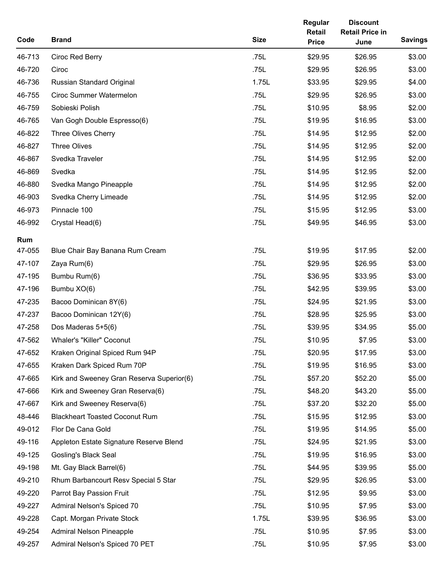| Code   | <b>Brand</b>                              | <b>Size</b> | Regular<br><b>Retail</b><br><b>Price</b> | <b>Discount</b><br><b>Retail Price in</b><br>June | <b>Savings</b> |
|--------|-------------------------------------------|-------------|------------------------------------------|---------------------------------------------------|----------------|
| 46-713 | Ciroc Red Berry                           | .75L        | \$29.95                                  | \$26.95                                           | \$3.00         |
| 46-720 | Ciroc                                     | .75L        | \$29.95                                  | \$26.95                                           | \$3.00         |
| 46-736 | Russian Standard Original                 | 1.75L       | \$33.95                                  | \$29.95                                           | \$4.00         |
| 46-755 | <b>Ciroc Summer Watermelon</b>            | .75L        | \$29.95                                  | \$26.95                                           | \$3.00         |
| 46-759 | Sobieski Polish                           | .75L        | \$10.95                                  | \$8.95                                            | \$2.00         |
| 46-765 | Van Gogh Double Espresso(6)               | .75L        | \$19.95                                  | \$16.95                                           | \$3.00         |
| 46-822 | Three Olives Cherry                       | .75L        | \$14.95                                  | \$12.95                                           | \$2.00         |
| 46-827 | <b>Three Olives</b>                       | .75L        | \$14.95                                  | \$12.95                                           | \$2.00         |
| 46-867 | Svedka Traveler                           | .75L        | \$14.95                                  | \$12.95                                           | \$2.00         |
| 46-869 | Svedka                                    | .75L        | \$14.95                                  | \$12.95                                           | \$2.00         |
| 46-880 | Svedka Mango Pineapple                    | .75L        | \$14.95                                  | \$12.95                                           | \$2.00         |
| 46-903 | Svedka Cherry Limeade                     | .75L        | \$14.95                                  | \$12.95                                           | \$2.00         |
| 46-973 | Pinnacle 100                              | .75L        | \$15.95                                  | \$12.95                                           | \$3.00         |
| 46-992 | Crystal Head(6)                           | .75L        | \$49.95                                  | \$46.95                                           | \$3.00         |
| Rum    |                                           |             |                                          |                                                   |                |
| 47-055 | Blue Chair Bay Banana Rum Cream           | .75L        | \$19.95                                  | \$17.95                                           | \$2.00         |
| 47-107 | Zaya Rum(6)                               | .75L        | \$29.95                                  | \$26.95                                           | \$3.00         |
| 47-195 | Bumbu Rum(6)                              | .75L        | \$36.95                                  | \$33.95                                           | \$3.00         |
| 47-196 | Bumbu XO(6)                               | .75L        | \$42.95                                  | \$39.95                                           | \$3.00         |
| 47-235 | Bacoo Dominican 8Y(6)                     | .75L        | \$24.95                                  | \$21.95                                           | \$3.00         |
| 47-237 | Bacoo Dominican 12Y(6)                    | .75L        | \$28.95                                  | \$25.95                                           | \$3.00         |
| 47-258 | Dos Maderas 5+5(6)                        | .75L        | \$39.95                                  | \$34.95                                           | \$5.00         |
| 47-562 | <b>Whaler's "Killer" Coconut</b>          | .75L        | \$10.95                                  | \$7.95                                            | \$3.00         |
| 47-652 | Kraken Original Spiced Rum 94P            | .75L        | \$20.95                                  | \$17.95                                           | \$3.00         |
| 47-655 | Kraken Dark Spiced Rum 70P                | .75L        | \$19.95                                  | \$16.95                                           | \$3.00         |
| 47-665 | Kirk and Sweeney Gran Reserva Superior(6) | .75L        | \$57.20                                  | \$52.20                                           | \$5.00         |
| 47-666 | Kirk and Sweeney Gran Reserva(6)          | .75L        | \$48.20                                  | \$43.20                                           | \$5.00         |
| 47-667 | Kirk and Sweeney Reserva(6)               | .75L        | \$37.20                                  | \$32.20                                           | \$5.00         |
| 48-446 | <b>Blackheart Toasted Coconut Rum</b>     | .75L        | \$15.95                                  | \$12.95                                           | \$3.00         |
| 49-012 | Flor De Cana Gold                         | .75L        | \$19.95                                  | \$14.95                                           | \$5.00         |
| 49-116 | Appleton Estate Signature Reserve Blend   | .75L        | \$24.95                                  | \$21.95                                           | \$3.00         |
| 49-125 | Gosling's Black Seal                      | .75L        | \$19.95                                  | \$16.95                                           | \$3.00         |
| 49-198 | Mt. Gay Black Barrel(6)                   | .75L        | \$44.95                                  | \$39.95                                           | \$5.00         |
| 49-210 | Rhum Barbancourt Resv Special 5 Star      | .75L        | \$29.95                                  | \$26.95                                           | \$3.00         |
| 49-220 | Parrot Bay Passion Fruit                  | .75L        | \$12.95                                  | \$9.95                                            | \$3.00         |
| 49-227 | Admiral Nelson's Spiced 70                | .75L        | \$10.95                                  | \$7.95                                            | \$3.00         |
| 49-228 | Capt. Morgan Private Stock                | 1.75L       | \$39.95                                  | \$36.95                                           | \$3.00         |
| 49-254 | <b>Admiral Nelson Pineapple</b>           | .75L        | \$10.95                                  | \$7.95                                            | \$3.00         |
| 49-257 | Admiral Nelson's Spiced 70 PET            | .75L        | \$10.95                                  | \$7.95                                            | \$3.00         |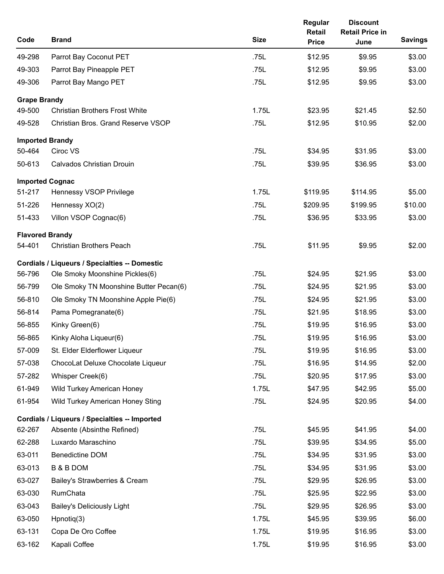| Code                | <b>Brand</b>                                         | <b>Size</b> | Regular<br>Retail<br><b>Price</b> | <b>Discount</b><br><b>Retail Price in</b><br>June | <b>Savings</b> |
|---------------------|------------------------------------------------------|-------------|-----------------------------------|---------------------------------------------------|----------------|
| 49-298              | Parrot Bay Coconut PET                               | .75L        | \$12.95                           | \$9.95                                            | \$3.00         |
| 49-303              | Parrot Bay Pineapple PET                             | .75L        | \$12.95                           | \$9.95                                            | \$3.00         |
| 49-306              | Parrot Bay Mango PET                                 | .75L        | \$12.95                           | \$9.95                                            | \$3.00         |
| <b>Grape Brandy</b> |                                                      |             |                                   |                                                   |                |
| 49-500              | <b>Christian Brothers Frost White</b>                | 1.75L       | \$23.95                           | \$21.45                                           | \$2.50         |
| 49-528              | Christian Bros. Grand Reserve VSOP                   | .75L        | \$12.95                           | \$10.95                                           | \$2.00         |
|                     | <b>Imported Brandy</b>                               |             |                                   |                                                   |                |
| 50-464              | Ciroc VS                                             | .75L        | \$34.95                           | \$31.95                                           | \$3.00         |
| 50-613              | <b>Calvados Christian Drouin</b>                     | .75L        | \$39.95                           | \$36.95                                           | \$3.00         |
|                     | <b>Imported Cognac</b>                               |             |                                   |                                                   |                |
| 51-217              | Hennessy VSOP Privilege                              | 1.75L       | \$119.95                          | \$114.95                                          | \$5.00         |
| 51-226              | Hennessy XO(2)                                       | .75L        | \$209.95                          | \$199.95                                          | \$10.00        |
| 51-433              | Villon VSOP Cognac(6)                                | .75L        | \$36.95                           | \$33.95                                           | \$3.00         |
|                     | <b>Flavored Brandy</b>                               |             |                                   |                                                   |                |
| 54-401              | <b>Christian Brothers Peach</b>                      | .75L        | \$11.95                           | \$9.95                                            | \$2.00         |
|                     | <b>Cordials / Liqueurs / Specialties -- Domestic</b> |             |                                   |                                                   |                |
| 56-796              | Ole Smoky Moonshine Pickles(6)                       | .75L        | \$24.95                           | \$21.95                                           | \$3.00         |
| 56-799              | Ole Smoky TN Moonshine Butter Pecan(6)               | .75L        | \$24.95                           | \$21.95                                           | \$3.00         |
| 56-810              | Ole Smoky TN Moonshine Apple Pie(6)                  | .75L        | \$24.95                           | \$21.95                                           | \$3.00         |
| 56-814              | Pama Pomegranate(6)                                  | .75L        | \$21.95                           | \$18.95                                           | \$3.00         |
| 56-855              | Kinky Green(6)                                       | .75L        | \$19.95                           | \$16.95                                           | \$3.00         |
| 56-865              | Kinky Aloha Liqueur(6)                               | .75L        | \$19.95                           | \$16.95                                           | \$3.00         |
| 57-009              | St. Elder Elderflower Liqueur                        | .75L        | \$19.95                           | \$16.95                                           | \$3.00         |
| 57-038              | ChocoLat Deluxe Chocolate Liqueur                    | .75L        | \$16.95                           | \$14.95                                           | \$2.00         |
| 57-282              | Whisper Creek(6)                                     | .75L        | \$20.95                           | \$17.95                                           | \$3.00         |
| 61-949              | Wild Turkey American Honey                           | 1.75L       | \$47.95                           | \$42.95                                           | \$5.00         |
| 61-954              | Wild Turkey American Honey Sting                     | .75L        | \$24.95                           | \$20.95                                           | \$4.00         |
|                     | Cordials / Liqueurs / Specialties -- Imported        |             |                                   |                                                   |                |
| 62-267              | Absente (Absinthe Refined)                           | .75L        | \$45.95                           | \$41.95                                           | \$4.00         |
| 62-288              | Luxardo Maraschino                                   | .75L        | \$39.95                           | \$34.95                                           | \$5.00         |
| 63-011              | <b>Benedictine DOM</b>                               | .75L        | \$34.95                           | \$31.95                                           | \$3.00         |
| 63-013              | <b>B &amp; B DOM</b>                                 | .75L        | \$34.95                           | \$31.95                                           | \$3.00         |
| 63-027              | Bailey's Strawberries & Cream                        | .75L        | \$29.95                           | \$26.95                                           | \$3.00         |
| 63-030              | RumChata                                             | .75L        | \$25.95                           | \$22.95                                           | \$3.00         |
| 63-043              | <b>Bailey's Deliciously Light</b>                    | .75L        | \$29.95                           | \$26.95                                           | \$3.00         |
| 63-050              | $H$ pnotiq $(3)$                                     | 1.75L       | \$45.95                           | \$39.95                                           | \$6.00         |
| 63-131              | Copa De Oro Coffee                                   | 1.75L       | \$19.95                           | \$16.95                                           | \$3.00         |
| 63-162              | Kapali Coffee                                        | 1.75L       | \$19.95                           | \$16.95                                           | \$3.00         |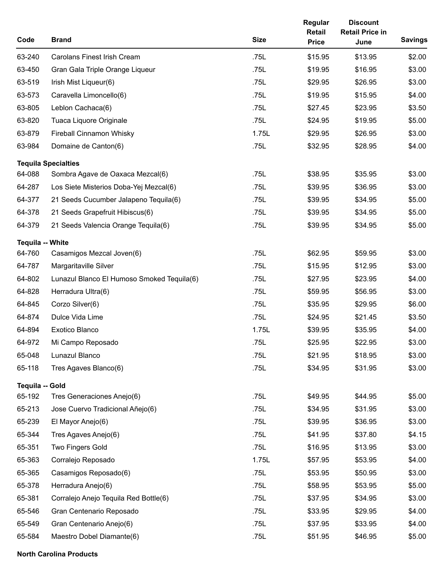| Code                    | <b>Brand</b>                               | <b>Size</b> | Regular<br>Retail<br><b>Price</b> | <b>Discount</b><br><b>Retail Price in</b><br>June | <b>Savings</b> |
|-------------------------|--------------------------------------------|-------------|-----------------------------------|---------------------------------------------------|----------------|
| 63-240                  | <b>Carolans Finest Irish Cream</b>         | .75L        | \$15.95                           | \$13.95                                           | \$2.00         |
| 63-450                  | Gran Gala Triple Orange Liqueur            | .75L        | \$19.95                           | \$16.95                                           | \$3.00         |
| 63-519                  | Irish Mist Liqueur(6)                      | .75L        | \$29.95                           | \$26.95                                           | \$3.00         |
| 63-573                  | Caravella Limoncello(6)                    | .75L        | \$19.95                           | \$15.95                                           | \$4.00         |
| 63-805                  | Leblon Cachaca(6)                          | .75L        | \$27.45                           | \$23.95                                           | \$3.50         |
| 63-820                  | Tuaca Liquore Originale                    | .75L        | \$24.95                           | \$19.95                                           | \$5.00         |
| 63-879                  | Fireball Cinnamon Whisky                   | 1.75L       | \$29.95                           | \$26.95                                           | \$3.00         |
| 63-984                  | Domaine de Canton(6)                       | .75L        | \$32.95                           | \$28.95                                           | \$4.00         |
|                         | <b>Tequila Specialties</b>                 |             |                                   |                                                   |                |
| 64-088                  | Sombra Agave de Oaxaca Mezcal(6)           | .75L        | \$38.95                           | \$35.95                                           | \$3.00         |
| 64-287                  | Los Siete Misterios Doba-Yej Mezcal(6)     | .75L        | \$39.95                           | \$36.95                                           | \$3.00         |
| 64-377                  | 21 Seeds Cucumber Jalapeno Tequila(6)      | .75L        | \$39.95                           | \$34.95                                           | \$5.00         |
| 64-378                  | 21 Seeds Grapefruit Hibiscus(6)            | .75L        | \$39.95                           | \$34.95                                           | \$5.00         |
| 64-379                  | 21 Seeds Valencia Orange Tequila(6)        | .75L        | \$39.95                           | \$34.95                                           | \$5.00         |
| <b>Tequila -- White</b> |                                            |             |                                   |                                                   |                |
| 64-760                  | Casamigos Mezcal Joven(6)                  | .75L        | \$62.95                           | \$59.95                                           | \$3.00         |
| 64-787                  | Margaritaville Silver                      | .75L        | \$15.95                           | \$12.95                                           | \$3.00         |
| 64-802                  | Lunazul Blanco El Humoso Smoked Tequila(6) | .75L        | \$27.95                           | \$23.95                                           | \$4.00         |
| 64-828                  | Herradura Ultra(6)                         | .75L        | \$59.95                           | \$56.95                                           | \$3.00         |
| 64-845                  | Corzo Silver(6)                            | .75L        | \$35.95                           | \$29.95                                           | \$6.00         |
| 64-874                  | Dulce Vida Lime                            | .75L        | \$24.95                           | \$21.45                                           | \$3.50         |
| 64-894                  | Exotico Blanco                             | 1.75L       | \$39.95                           | \$35.95                                           | \$4.00         |
| 64-972                  | Mi Campo Reposado                          | .75L        | \$25.95                           | \$22.95                                           | \$3.00         |
| 65-048                  | Lunazul Blanco                             | .75L        | \$21.95                           | \$18.95                                           | \$3.00         |
| 65-118                  | Tres Agaves Blanco(6)                      | .75L        | \$34.95                           | \$31.95                                           | \$3.00         |
| Tequila -- Gold         |                                            |             |                                   |                                                   |                |
| 65-192                  | Tres Generaciones Anejo(6)                 | .75L        | \$49.95                           | \$44.95                                           | \$5.00         |
| 65-213                  | Jose Cuervo Tradicional Añejo(6)           | .75L        | \$34.95                           | \$31.95                                           | \$3.00         |
| 65-239                  | El Mayor Anejo(6)                          | .75L        | \$39.95                           | \$36.95                                           | \$3.00         |
| 65-344                  | Tres Agaves Anejo(6)                       | .75L        | \$41.95                           | \$37.80                                           | \$4.15         |
| 65-351                  | <b>Two Fingers Gold</b>                    | .75L        | \$16.95                           | \$13.95                                           | \$3.00         |
| 65-363                  | Corralejo Reposado                         | 1.75L       | \$57.95                           | \$53.95                                           | \$4.00         |
| 65-365                  | Casamigos Reposado(6)                      | .75L        | \$53.95                           | \$50.95                                           | \$3.00         |
| 65-378                  | Herradura Anejo(6)                         | .75L        | \$58.95                           | \$53.95                                           | \$5.00         |
| 65-381                  | Corralejo Anejo Tequila Red Bottle(6)      | .75L        | \$37.95                           | \$34.95                                           | \$3.00         |
| 65-546                  | Gran Centenario Reposado                   | .75L        | \$33.95                           | \$29.95                                           | \$4.00         |
| 65-549                  | Gran Centenario Anejo(6)                   | .75L        | \$37.95                           | \$33.95                                           | \$4.00         |
| 65-584                  | Maestro Dobel Diamante(6)                  | .75L        | \$51.95                           | \$46.95                                           | \$5.00         |